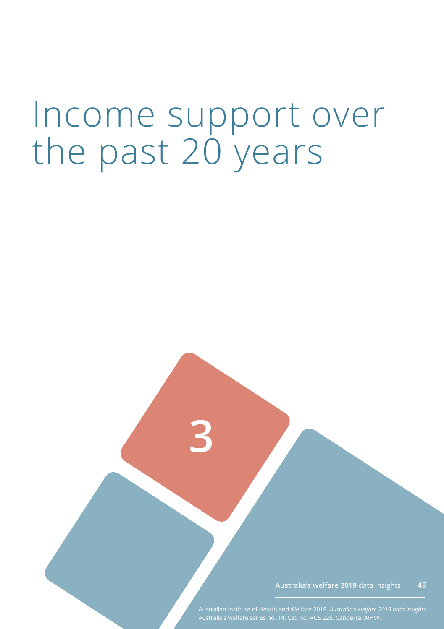# Income support over the past 20 years

**3**

**Australia's welfare 2019** data insights **49**

Australian Institute of Health and Welfare 2019. *Australia's welfare 2019 data insights*.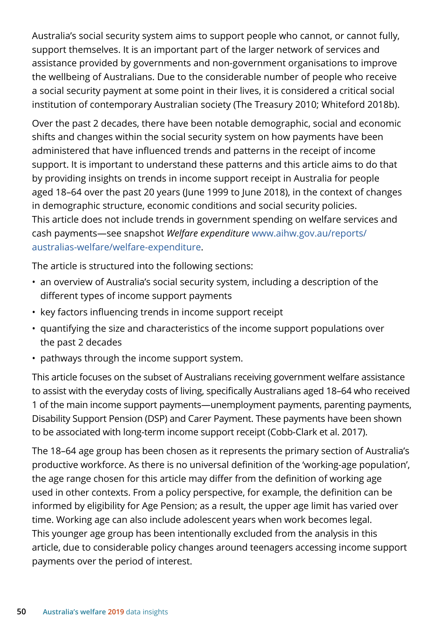Australia's social security system aims to support people who cannot, or cannot fully, support themselves. It is an important part of the larger network of services and assistance provided by governments and non-government organisations to improve the wellbeing of Australians. Due to the considerable number of people who receive a social security payment at some point in their lives, it is considered a critical social institution of contemporary Australian society (The Treasury 2010; Whiteford 2018b).

Over the past 2 decades, there have been notable demographic, social and economic shifts and changes within the social security system on how payments have been administered that have influenced trends and patterns in the receipt of income support. It is important to understand these patterns and this article aims to do that by providing insights on trends in income support receipt in Australia for people aged 18–64 over the past 20 years (June 1999 to June 2018), in the context of changes in demographic structure, economic conditions and social security policies. This article does not include trends in government spending on welfare services and cash payments—see snapshot *Welfare expenditure* [www.aihw.gov.au/reports/](https://www.aihw.gov.au/reports/australias-welfare/welfare-expenditure) [australias-welfare/welfare-expenditure](https://www.aihw.gov.au/reports/australias-welfare/welfare-expenditure).

The article is structured into the following sections:

- an overview of Australia's social security system, including a description of the different types of income support payments
- key factors influencing trends in income support receipt
- quantifying the size and characteristics of the income support populations over the past 2 decades
- pathways through the income support system.

This article focuses on the subset of Australians receiving government welfare assistance to assist with the everyday costs of living, specifically Australians aged 18–64 who received 1 of the main income support payments—unemployment payments, parenting payments, Disability Support Pension (DSP) and Carer Payment. These payments have been shown to be associated with long-term income support receipt (Cobb-Clark et al. 2017).

The 18–64 age group has been chosen as it represents the primary section of Australia's productive workforce. As there is no universal definition of the 'working-age population', the age range chosen for this article may differ from the definition of working age used in other contexts. From a policy perspective, for example, the definition can be informed by eligibility for Age Pension; as a result, the upper age limit has varied over time. Working age can also include adolescent years when work becomes legal. This younger age group has been intentionally excluded from the analysis in this article, due to considerable policy changes around teenagers accessing income support payments over the period of interest.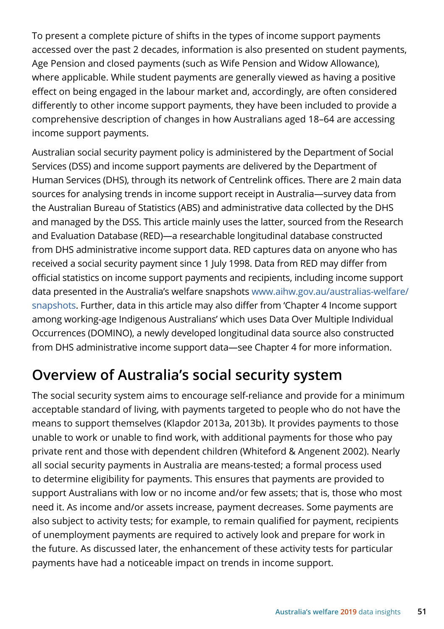To present a complete picture of shifts in the types of income support payments accessed over the past 2 decades, information is also presented on student payments, Age Pension and closed payments (such as Wife Pension and Widow Allowance), where applicable. While student payments are generally viewed as having a positive effect on being engaged in the labour market and, accordingly, are often considered differently to other income support payments, they have been included to provide a comprehensive description of changes in how Australians aged 18–64 are accessing income support payments.

Australian social security payment policy is administered by the Department of Social Services (DSS) and income support payments are delivered by the Department of Human Services (DHS), through its network of Centrelink offices. There are 2 main data sources for analysing trends in income support receipt in Australia—survey data from the Australian Bureau of Statistics (ABS) and administrative data collected by the DHS and managed by the DSS. This article mainly uses the latter, sourced from the Research and Evaluation Database (RED)—a researchable longitudinal database constructed from DHS administrative income support data. RED captures data on anyone who has received a social security payment since 1 July 1998. Data from RED may differ from official statistics on income support payments and recipients, including income support data presented in the Australia's welfare snapshots [www.aihw.gov.au/australias-welfare/](https://www.aihw.gov.au/australias-welfare/snapshots) [snapshots](https://www.aihw.gov.au/australias-welfare/snapshots). Further, data in this article may also differ from 'Chapter 4 Income support among working-age Indigenous Australians' which uses Data Over Multiple Individual Occurrences (DOMINO), a newly developed longitudinal data source also constructed from DHS administrative income support data—see Chapter 4 for more information.

# **Overview of Australia's social security system**

The social security system aims to encourage self-reliance and provide for a minimum acceptable standard of living, with payments targeted to people who do not have the means to support themselves (Klapdor 2013a, 2013b). It provides payments to those unable to work or unable to find work, with additional payments for those who pay private rent and those with dependent children (Whiteford & Angenent 2002). Nearly all social security payments in Australia are means-tested; a formal process used to determine eligibility for payments. This ensures that payments are provided to support Australians with low or no income and/or few assets; that is, those who most need it. As income and/or assets increase, payment decreases. Some payments are also subject to activity tests; for example, to remain qualified for payment, recipients of unemployment payments are required to actively look and prepare for work in the future. As discussed later, the enhancement of these activity tests for particular payments have had a noticeable impact on trends in income support.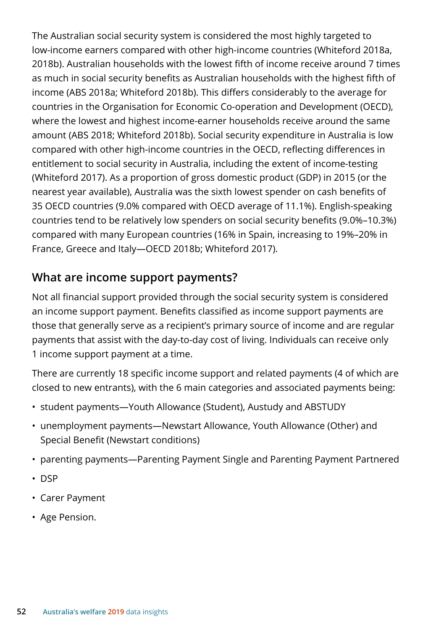The Australian social security system is considered the most highly targeted to low-income earners compared with other high-income countries (Whiteford 2018a, 2018b). Australian households with the lowest fifth of income receive around 7 times as much in social security benefits as Australian households with the highest fifth of income (ABS 2018a; Whiteford 2018b). This differs considerably to the average for countries in the Organisation for Economic Co-operation and Development (OECD), where the lowest and highest income-earner households receive around the same amount (ABS 2018; Whiteford 2018b). Social security expenditure in Australia is low compared with other high-income countries in the OECD, reflecting differences in entitlement to social security in Australia, including the extent of income-testing (Whiteford 2017). As a proportion of gross domestic product (GDP) in 2015 (or the nearest year available), Australia was the sixth lowest spender on cash benefits of 35 OECD countries (9.0% compared with OECD average of 11.1%). English-speaking countries tend to be relatively low spenders on social security benefits (9.0%–10.3%) compared with many European countries (16% in Spain, increasing to 19%–20% in France, Greece and Italy—OECD 2018b; Whiteford 2017).

#### **What are income support payments?**

Not all financial support provided through the social security system is considered an income support payment. Benefits classified as income support payments are those that generally serve as a recipient's primary source of income and are regular payments that assist with the day-to-day cost of living. Individuals can receive only 1 income support payment at a time.

There are currently 18 specific income support and related payments (4 of which are closed to new entrants), with the 6 main categories and associated payments being:

- student payments—Youth Allowance (Student), Austudy and ABSTUDY
- unemployment payments—Newstart Allowance, Youth Allowance (Other) and Special Benefit (Newstart conditions)
- parenting payments—Parenting Payment Single and Parenting Payment Partnered
- DSP
- Carer Payment
- Age Pension.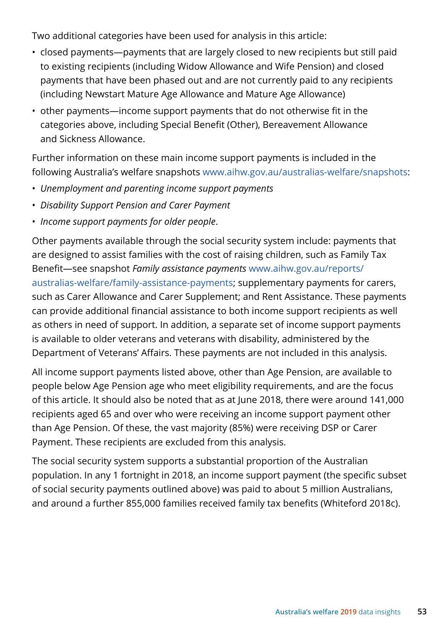Two additional categories have been used for analysis in this article:

- closed payments—payments that are largely closed to new recipients but still paid to existing recipients (including Widow Allowance and Wife Pension) and closed payments that have been phased out and are not currently paid to any recipients (including Newstart Mature Age Allowance and Mature Age Allowance)
- other payments—income support payments that do not otherwise fit in the categories above, including Special Benefit (Other), Bereavement Allowance and Sickness Allowance.

Further information on these main income support payments is included in the following Australia's welfare snapshots [www.aihw.gov.au/australias-welfare/snapshots](https://www.aihw.gov.au/australias-welfare/snapshots):

- *Unemployment and parenting income support payments*
- *Disability Support Pension and Carer Payment*
- *Income support payments for older people*.

Other payments available through the social security system include: payments that are designed to assist families with the cost of raising children, such as Family Tax Benefit—see snapshot *Family assistance payments* [www.aihw.gov.au/reports/](https://www.aihw.gov.au/reports/australias-welfare/family-assistance-payments) [australias-welfare/family-assistance-payments](https://www.aihw.gov.au/reports/australias-welfare/family-assistance-payments); supplementary payments for carers, such as Carer Allowance and Carer Supplement; and Rent Assistance. These payments can provide additional financial assistance to both income support recipients as well as others in need of support. In addition, a separate set of income support payments is available to older veterans and veterans with disability, administered by the Department of Veterans' Affairs. These payments are not included in this analysis.

All income support payments listed above, other than Age Pension, are available to people below Age Pension age who meet eligibility requirements, and are the focus of this article. It should also be noted that as at June 2018, there were around 141,000 recipients aged 65 and over who were receiving an income support payment other than Age Pension. Of these, the vast majority (85%) were receiving DSP or Carer Payment. These recipients are excluded from this analysis.

The social security system supports a substantial proportion of the Australian population. In any 1 fortnight in 2018, an income support payment (the specific subset of social security payments outlined above) was paid to about 5 million Australians, and around a further 855,000 families received family tax benefits (Whiteford 2018c).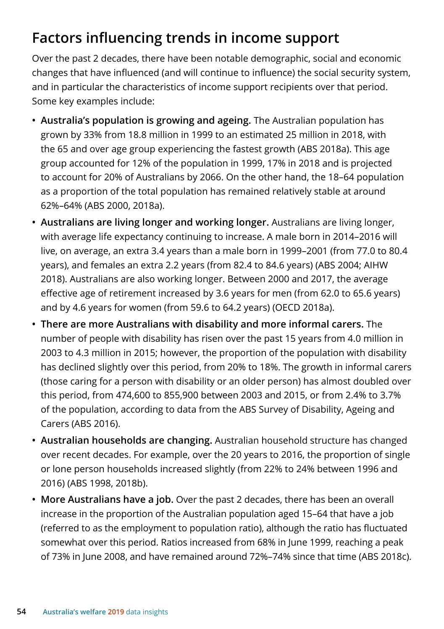# **Factors influencing trends in income support**

Over the past 2 decades, there have been notable demographic, social and economic changes that have influenced (and will continue to influence) the social security system, and in particular the characteristics of income support recipients over that period. Some key examples include:

- **Australia's population is growing and ageing.** The Australian population has grown by 33% from 18.8 million in 1999 to an estimated 25 million in 2018, with the 65 and over age group experiencing the fastest growth (ABS 2018a). This age group accounted for 12% of the population in 1999, 17% in 2018 and is projected to account for 20% of Australians by 2066. On the other hand, the 18–64 population as a proportion of the total population has remained relatively stable at around 62%–64% (ABS 2000, 2018a).
- **Australians are living longer and working longer.** Australians are living longer, with average life expectancy continuing to increase. A male born in 2014–2016 will live, on average, an extra 3.4 years than a male born in 1999–2001 (from 77.0 to 80.4 years), and females an extra 2.2 years (from 82.4 to 84.6 years) (ABS 2004; AIHW 2018). Australians are also working longer. Between 2000 and 2017, the average effective age of retirement increased by 3.6 years for men (from 62.0 to 65.6 years) and by 4.6 years for women (from 59.6 to 64.2 years) (OECD 2018a).
- **There are more Australians with disability and more informal carers.** The number of people with disability has risen over the past 15 years from 4.0 million in 2003 to 4.3 million in 2015; however, the proportion of the population with disability has declined slightly over this period, from 20% to 18%. The growth in informal carers (those caring for a person with disability or an older person) has almost doubled over this period, from 474,600 to 855,900 between 2003 and 2015, or from 2.4% to 3.7% of the population, according to data from the ABS Survey of Disability, Ageing and Carers (ABS 2016).
- **Australian households are changing.** Australian household structure has changed over recent decades. For example, over the 20 years to 2016, the proportion of single or lone person households increased slightly (from 22% to 24% between 1996 and 2016) (ABS 1998, 2018b).
- **More Australians have a job.** Over the past 2 decades, there has been an overall increase in the proportion of the Australian population aged 15–64 that have a job (referred to as the employment to population ratio), although the ratio has fluctuated somewhat over this period. Ratios increased from 68% in June 1999, reaching a peak of 73% in June 2008, and have remained around 72%–74% since that time (ABS 2018c).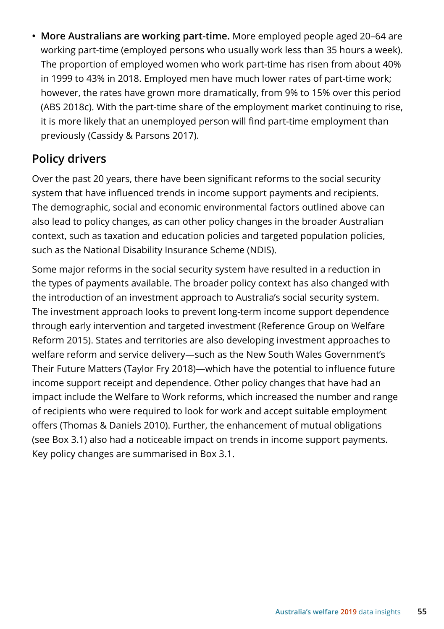**• More Australians are working part-time.** More employed people aged 20–64 are working part-time (employed persons who usually work less than 35 hours a week). The proportion of employed women who work part-time has risen from about 40% in 1999 to 43% in 2018. Employed men have much lower rates of part-time work; however, the rates have grown more dramatically, from 9% to 15% over this period (ABS 2018c). With the part-time share of the employment market continuing to rise, it is more likely that an unemployed person will find part-time employment than previously (Cassidy & Parsons 2017).

#### **Policy drivers**

Over the past 20 years, there have been significant reforms to the social security system that have influenced trends in income support payments and recipients. The demographic, social and economic environmental factors outlined above can also lead to policy changes, as can other policy changes in the broader Australian context, such as taxation and education policies and targeted population policies, such as the National Disability Insurance Scheme (NDIS).

Some major reforms in the social security system have resulted in a reduction in the types of payments available. The broader policy context has also changed with the introduction of an investment approach to Australia's social security system. The investment approach looks to prevent long-term income support dependence through early intervention and targeted investment (Reference Group on Welfare Reform 2015). States and territories are also developing investment approaches to welfare reform and service delivery—such as the New South Wales Government's Their Future Matters (Taylor Fry 2018)—which have the potential to influence future income support receipt and dependence. Other policy changes that have had an impact include the Welfare to Work reforms, which increased the number and range of recipients who were required to look for work and accept suitable employment offers (Thomas & Daniels 2010). Further, the enhancement of mutual obligations (see Box 3.1) also had a noticeable impact on trends in income support payments. Key policy changes are summarised in Box 3.1.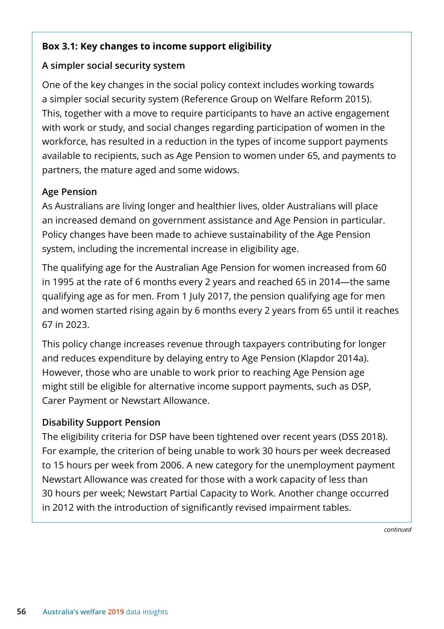#### **Box 3.1: Key changes to income support eligibility**

#### **A simpler social security system**

One of the key changes in the social policy context includes working towards a simpler social security system (Reference Group on Welfare Reform 2015). This, together with a move to require participants to have an active engagement with work or study, and social changes regarding participation of women in the workforce, has resulted in a reduction in the types of income support payments available to recipients, such as Age Pension to women under 65, and payments to partners, the mature aged and some widows.

#### **Age Pension**

As Australians are living longer and healthier lives, older Australians will place an increased demand on government assistance and Age Pension in particular. Policy changes have been made to achieve sustainability of the Age Pension system, including the incremental increase in eligibility age.

The qualifying age for the Australian Age Pension for women increased from 60 in 1995 at the rate of 6 months every 2 years and reached 65 in 2014—the same qualifying age as for men. From 1 July 2017, the pension qualifying age for men and women started rising again by 6 months every 2 years from 65 until it reaches 67 in 2023.

This policy change increases revenue through taxpayers contributing for longer and reduces expenditure by delaying entry to Age Pension (Klapdor 2014a). However, those who are unable to work prior to reaching Age Pension age might still be eligible for alternative income support payments, such as DSP, Carer Payment or Newstart Allowance.

#### **Disability Support Pension**

The eligibility criteria for DSP have been tightened over recent years (DSS 2018). For example, the criterion of being unable to work 30 hours per week decreased to 15 hours per week from 2006. A new category for the unemployment payment Newstart Allowance was created for those with a work capacity of less than 30 hours per week; Newstart Partial Capacity to Work. Another change occurred in 2012 with the introduction of significantly revised impairment tables.

*continued*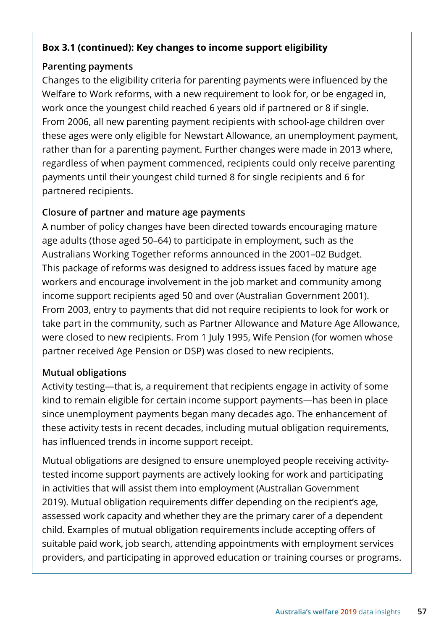#### **Box 3.1 (continued): Key changes to income support eligibility**

#### **Parenting payments**

Changes to the eligibility criteria for parenting payments were influenced by the Welfare to Work reforms, with a new requirement to look for, or be engaged in, work once the youngest child reached 6 years old if partnered or 8 if single. From 2006, all new parenting payment recipients with school-age children over these ages were only eligible for Newstart Allowance, an unemployment payment, rather than for a parenting payment. Further changes were made in 2013 where, regardless of when payment commenced, recipients could only receive parenting payments until their youngest child turned 8 for single recipients and 6 for partnered recipients.

#### **Closure of partner and mature age payments**

A number of policy changes have been directed towards encouraging mature age adults (those aged 50–64) to participate in employment, such as the Australians Working Together reforms announced in the 2001–02 Budget. This package of reforms was designed to address issues faced by mature age workers and encourage involvement in the job market and community among income support recipients aged 50 and over (Australian Government 2001). From 2003, entry to payments that did not require recipients to look for work or take part in the community, such as Partner Allowance and Mature Age Allowance, were closed to new recipients. From 1 July 1995, Wife Pension (for women whose partner received Age Pension or DSP) was closed to new recipients.

#### **Mutual obligations**

Activity testing—that is, a requirement that recipients engage in activity of some kind to remain eligible for certain income support payments—has been in place since unemployment payments began many decades ago. The enhancement of these activity tests in recent decades, including mutual obligation requirements, has influenced trends in income support receipt.

Mutual obligations are designed to ensure unemployed people receiving activitytested income support payments are actively looking for work and participating in activities that will assist them into employment (Australian Government 2019). Mutual obligation requirements differ depending on the recipient's age, assessed work capacity and whether they are the primary carer of a dependent child. Examples of mutual obligation requirements include accepting offers of suitable paid work, job search, attending appointments with employment services providers, and participating in approved education or training courses or programs.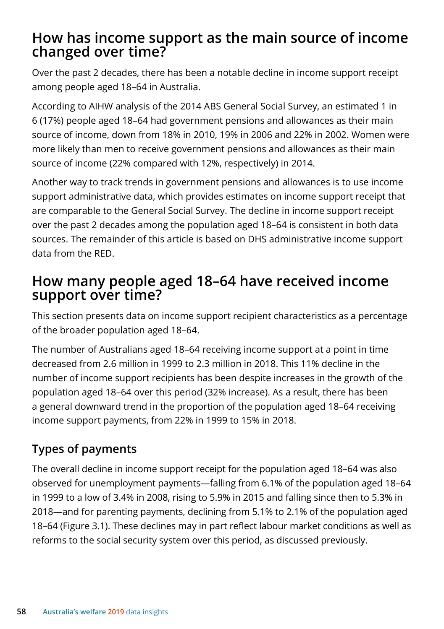## **How has income support as the main source of income changed over time?**

Over the past 2 decades, there has been a notable decline in income support receipt among people aged 18–64 in Australia.

According to AIHW analysis of the 2014 ABS General Social Survey, an estimated 1 in 6 (17%) people aged 18–64 had government pensions and allowances as their main source of income, down from 18% in 2010, 19% in 2006 and 22% in 2002. Women were more likely than men to receive government pensions and allowances as their main source of income (22% compared with 12%, respectively) in 2014.

Another way to track trends in government pensions and allowances is to use income support administrative data, which provides estimates on income support receipt that are comparable to the General Social Survey. The decline in income support receipt over the past 2 decades among the population aged 18–64 is consistent in both data sources. The remainder of this article is based on DHS administrative income support data from the RED.

## **How many people aged 18–64 have received income support over time?**

This section presents data on income support recipient characteristics as a percentage of the broader population aged 18–64.

The number of Australians aged 18–64 receiving income support at a point in time decreased from 2.6 million in 1999 to 2.3 million in 2018. This 11% decline in the number of income support recipients has been despite increases in the growth of the population aged 18–64 over this period (32% increase). As a result, there has been a general downward trend in the proportion of the population aged 18–64 receiving income support payments, from 22% in 1999 to 15% in 2018.

## **Types of payments**

The overall decline in income support receipt for the population aged 18–64 was also observed for unemployment payments—falling from 6.1% of the population aged 18–64 in 1999 to a low of 3.4% in 2008, rising to 5.9% in 2015 and falling since then to 5.3% in 2018—and for parenting payments, declining from 5.1% to 2.1% of the population aged 18–64 (Figure 3.1). These declines may in part reflect labour market conditions as well as reforms to the social security system over this period, as discussed previously.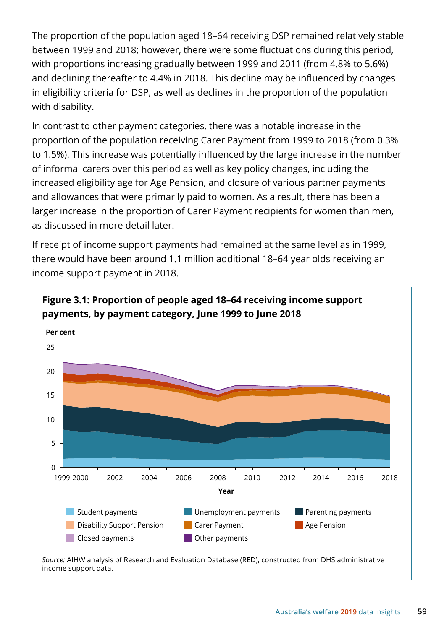The proportion of the population aged 18–64 receiving DSP remained relatively stable between 1999 and 2018; however, there were some fluctuations during this period, with proportions increasing gradually between 1999 and 2011 (from 4.8% to 5.6%) and declining thereafter to 4.4% in 2018. This decline may be influenced by changes in eligibility criteria for DSP, as well as declines in the proportion of the population with disability.

In contrast to other payment categories, there was a notable increase in the proportion of the population receiving Carer Payment from 1999 to 2018 (from 0.3% to 1.5%). This increase was potentially influenced by the large increase in the number of informal carers over this period as well as key policy changes, including the increased eligibility age for Age Pension, and closure of various partner payments and allowances that were primarily paid to women. As a result, there has been a larger increase in the proportion of Carer Payment recipients for women than men, as discussed in more detail later.

If receipt of income support payments had remained at the same level as in 1999, there would have been around 1.1 million additional 18–64 year olds receiving an income support payment in 2018.

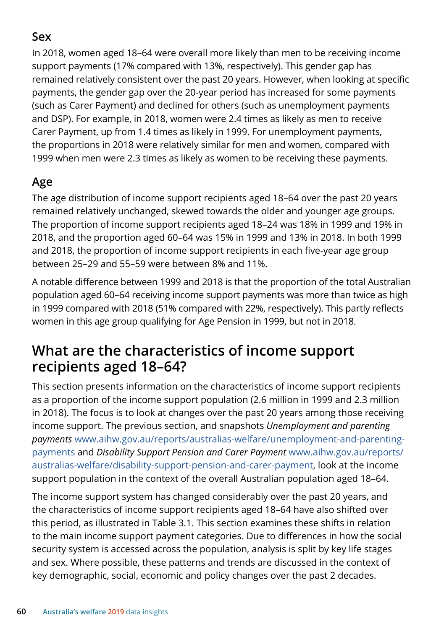## **Sex**

In 2018, women aged 18–64 were overall more likely than men to be receiving income support payments (17% compared with 13%, respectively). This gender gap has remained relatively consistent over the past 20 years. However, when looking at specific payments, the gender gap over the 20-year period has increased for some payments (such as Carer Payment) and declined for others (such as unemployment payments and DSP). For example, in 2018, women were 2.4 times as likely as men to receive Carer Payment, up from 1.4 times as likely in 1999. For unemployment payments, the proportions in 2018 were relatively similar for men and women, compared with 1999 when men were 2.3 times as likely as women to be receiving these payments.

## **Age**

The age distribution of income support recipients aged 18–64 over the past 20 years remained relatively unchanged, skewed towards the older and younger age groups. The proportion of income support recipients aged 18–24 was 18% in 1999 and 19% in 2018, and the proportion aged 60–64 was 15% in 1999 and 13% in 2018. In both 1999 and 2018, the proportion of income support recipients in each five-year age group between 25–29 and 55–59 were between 8% and 11%.

A notable difference between 1999 and 2018 is that the proportion of the total Australian population aged 60–64 receiving income support payments was more than twice as high in 1999 compared with 2018 (51% compared with 22%, respectively). This partly reflects women in this age group qualifying for Age Pension in 1999, but not in 2018.

## **What are the characteristics of income support recipients aged 18–64?**

This section presents information on the characteristics of income support recipients as a proportion of the income support population (2.6 million in 1999 and 2.3 million in 2018). The focus is to look at changes over the past 20 years among those receiving income support. The previous section, and snapshots *Unemployment and parenting payments* [www.aihw.gov.au/reports/australias-welfare/unemployment-and-parenting](https://www.aihw.gov.au/reports/australias-welfare/unemployment-and-parenting-payments)[payments](https://www.aihw.gov.au/reports/australias-welfare/unemployment-and-parenting-payments) and *Disability Support Pension and Carer Payment* [www.aihw.gov.au/reports/](https://www.aihw.gov.au/reports/australias-welfare/disability-support-pension-and-carer-payment) [australias-welfare/disability-support-pension-and-carer-payment](https://www.aihw.gov.au/reports/australias-welfare/disability-support-pension-and-carer-payment), look at the income support population in the context of the overall Australian population aged 18–64.

The income support system has changed considerably over the past 20 years, and the characteristics of income support recipients aged 18–64 have also shifted over this period, as illustrated in Table 3.1. This section examines these shifts in relation to the main income support payment categories. Due to differences in how the social security system is accessed across the population, analysis is split by key life stages and sex. Where possible, these patterns and trends are discussed in the context of key demographic, social, economic and policy changes over the past 2 decades.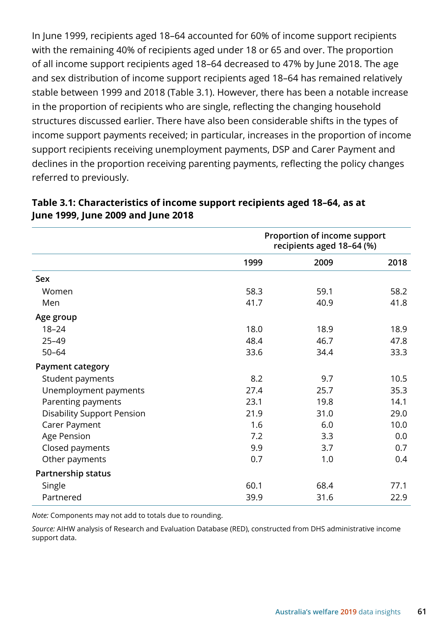In June 1999, recipients aged 18–64 accounted for 60% of income support recipients with the remaining 40% of recipients aged under 18 or 65 and over. The proportion of all income support recipients aged 18–64 decreased to 47% by June 2018. The age and sex distribution of income support recipients aged 18–64 has remained relatively stable between 1999 and 2018 (Table 3.1). However, there has been a notable increase in the proportion of recipients who are single, reflecting the changing household structures discussed earlier. There have also been considerable shifts in the types of income support payments received; in particular, increases in the proportion of income support recipients receiving unemployment payments, DSP and Carer Payment and declines in the proportion receiving parenting payments, reflecting the policy changes referred to previously.

|                                   | Proportion of income support<br>recipients aged 18-64 (%) |      |      |
|-----------------------------------|-----------------------------------------------------------|------|------|
|                                   | 1999                                                      | 2009 | 2018 |
| Sex                               |                                                           |      |      |
| Women                             | 58.3                                                      | 59.1 | 58.2 |
| Men                               | 41.7                                                      | 40.9 | 41.8 |
| Age group                         |                                                           |      |      |
| $18 - 24$                         | 18.0                                                      | 18.9 | 18.9 |
| $25 - 49$                         | 48.4                                                      | 46.7 | 47.8 |
| $50 - 64$                         | 33.6                                                      | 34.4 | 33.3 |
| <b>Payment category</b>           |                                                           |      |      |
| Student payments                  | 8.2                                                       | 9.7  | 10.5 |
| Unemployment payments             | 27.4                                                      | 25.7 | 35.3 |
| Parenting payments                | 23.1                                                      | 19.8 | 14.1 |
| <b>Disability Support Pension</b> | 21.9                                                      | 31.0 | 29.0 |
| Carer Payment                     | 1.6                                                       | 6.0  | 10.0 |
| Age Pension                       | 7.2                                                       | 3.3  | 0.0  |
| Closed payments                   | 9.9                                                       | 3.7  | 0.7  |
| Other payments                    | 0.7                                                       | 1.0  | 0.4  |
| Partnership status                |                                                           |      |      |
| Single                            | 60.1                                                      | 68.4 | 77.1 |
| Partnered                         | 39.9                                                      | 31.6 | 22.9 |

#### **Table 3.1: Characteristics of income support recipients aged 18–64, as at June 1999, June 2009 and June 2018**

*Note:* Components may not add to totals due to rounding.

*Source:* AIHW analysis of Research and Evaluation Database (RED), constructed from DHS administrative income support data.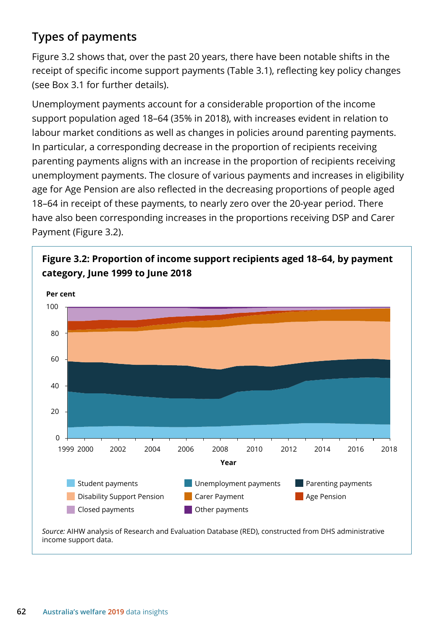## **Types of payments**

Figure 3.2 shows that, over the past 20 years, there have been notable shifts in the receipt of specific income support payments (Table 3.1), reflecting key policy changes (see Box 3.1 for further details).

Unemployment payments account for a considerable proportion of the income support population aged 18–64 (35% in 2018), with increases evident in relation to labour market conditions as well as changes in policies around parenting payments. In particular, a corresponding decrease in the proportion of recipients receiving parenting payments aligns with an increase in the proportion of recipients receiving unemployment payments. The closure of various payments and increases in eligibility age for Age Pension are also reflected in the decreasing proportions of people aged 18–64 in receipt of these payments, to nearly zero over the 20-year period. There have also been corresponding increases in the proportions receiving DSP and Carer Payment (Figure 3.2).





*Source:* AIHW analysis of Research and Evaluation Database (RED), constructed from DHS administrative income support data.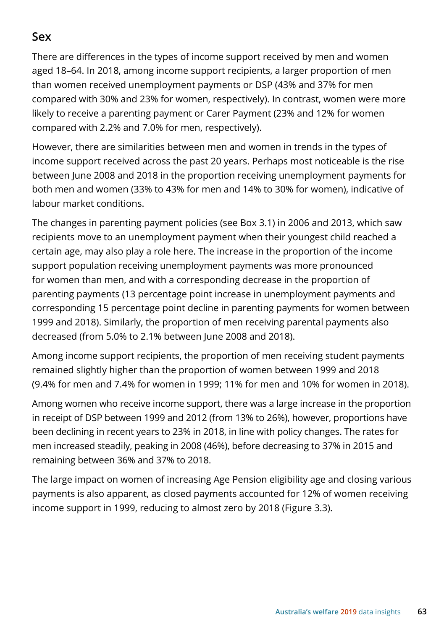### **Sex**

There are differences in the types of income support received by men and women aged 18–64. In 2018, among income support recipients, a larger proportion of men than women received unemployment payments or DSP (43% and 37% for men compared with 30% and 23% for women, respectively). In contrast, women were more likely to receive a parenting payment or Carer Payment (23% and 12% for women compared with 2.2% and 7.0% for men, respectively).

However, there are similarities between men and women in trends in the types of income support received across the past 20 years. Perhaps most noticeable is the rise between June 2008 and 2018 in the proportion receiving unemployment payments for both men and women (33% to 43% for men and 14% to 30% for women), indicative of labour market conditions.

The changes in parenting payment policies (see Box 3.1) in 2006 and 2013, which saw recipients move to an unemployment payment when their youngest child reached a certain age, may also play a role here. The increase in the proportion of the income support population receiving unemployment payments was more pronounced for women than men, and with a corresponding decrease in the proportion of parenting payments (13 percentage point increase in unemployment payments and corresponding 15 percentage point decline in parenting payments for women between 1999 and 2018). Similarly, the proportion of men receiving parental payments also decreased (from 5.0% to 2.1% between June 2008 and 2018).

Among income support recipients, the proportion of men receiving student payments remained slightly higher than the proportion of women between 1999 and 2018 (9.4% for men and 7.4% for women in 1999; 11% for men and 10% for women in 2018).

Among women who receive income support, there was a large increase in the proportion in receipt of DSP between 1999 and 2012 (from 13% to 26%), however, proportions have been declining in recent years to 23% in 2018, in line with policy changes. The rates for men increased steadily, peaking in 2008 (46%), before decreasing to 37% in 2015 and remaining between 36% and 37% to 2018.

The large impact on women of increasing Age Pension eligibility age and closing various payments is also apparent, as closed payments accounted for 12% of women receiving income support in 1999, reducing to almost zero by 2018 (Figure 3.3).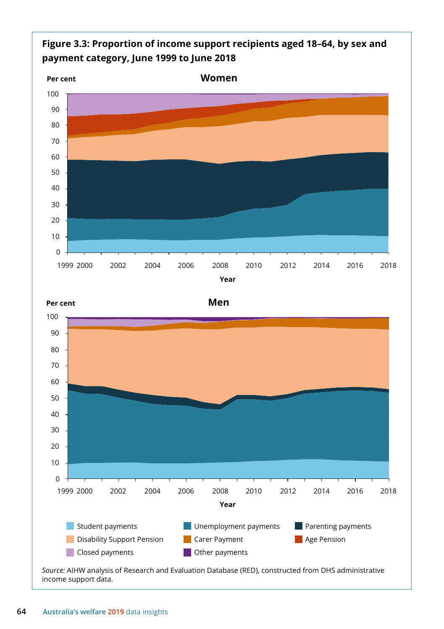

 2000 2002 2004 2006 2008 2010 2012 2014 2016 2018 **Year**



*Source:* AIHW analysis of Research and Evaluation Database (RED), constructed from DHS administrative income support data.

 $\overline{0}$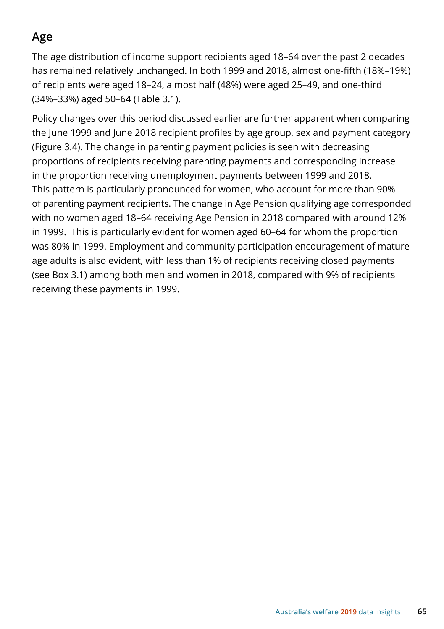## **Age**

The age distribution of income support recipients aged 18–64 over the past 2 decades has remained relatively unchanged. In both 1999 and 2018, almost one-fifth (18%–19%) of recipients were aged 18–24, almost half (48%) were aged 25–49, and one-third (34%–33%) aged 50–64 (Table 3.1).

Policy changes over this period discussed earlier are further apparent when comparing the June 1999 and June 2018 recipient profiles by age group, sex and payment category (Figure 3.4). The change in parenting payment policies is seen with decreasing proportions of recipients receiving parenting payments and corresponding increase in the proportion receiving unemployment payments between 1999 and 2018. This pattern is particularly pronounced for women, who account for more than 90% of parenting payment recipients. The change in Age Pension qualifying age corresponded with no women aged 18–64 receiving Age Pension in 2018 compared with around 12% in 1999. This is particularly evident for women aged 60–64 for whom the proportion was 80% in 1999. Employment and community participation encouragement of mature age adults is also evident, with less than 1% of recipients receiving closed payments (see Box 3.1) among both men and women in 2018, compared with 9% of recipients receiving these payments in 1999.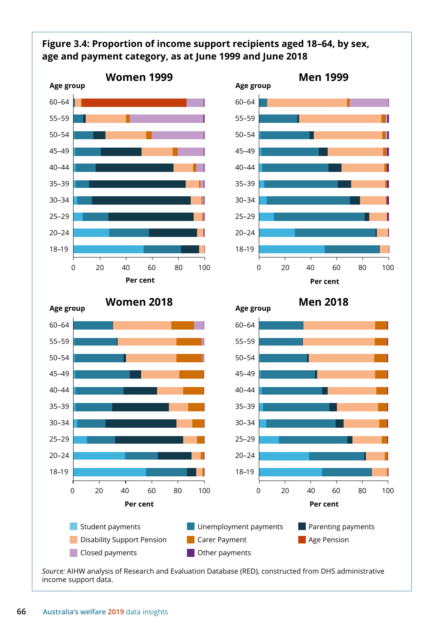#### **Figure 3.4: Proportion of income support recipients aged 18–64, by sex, age and payment category, as at June 1999 and June 2018**



*Source:* AIHW analysis of Research and Evaluation Database (RED), constructed from DHS administrative income support data.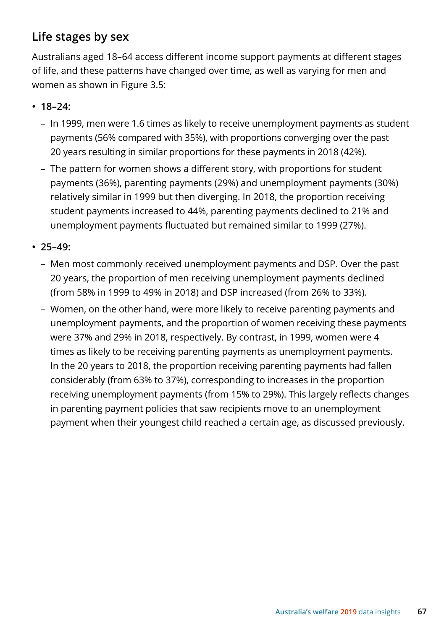## **Life stages by sex**

Australians aged 18–64 access different income support payments at different stages of life, and these patterns have changed over time, as well as varying for men and women as shown in Figure 3.5:

- **18–24:** 
	- In 1999, men were 1.6 times as likely to receive unemployment payments as student payments (56% compared with 35%), with proportions converging over the past 20 years resulting in similar proportions for these payments in 2018 (42%).
	- The pattern for women shows a different story, with proportions for student payments (36%), parenting payments (29%) and unemployment payments (30%) relatively similar in 1999 but then diverging. In 2018, the proportion receiving student payments increased to 44%, parenting payments declined to 21% and unemployment payments fluctuated but remained similar to 1999 (27%).
- **25–49:** 
	- Men most commonly received unemployment payments and DSP. Over the past 20 years, the proportion of men receiving unemployment payments declined (from 58% in 1999 to 49% in 2018) and DSP increased (from 26% to 33%).
	- Women, on the other hand, were more likely to receive parenting payments and unemployment payments, and the proportion of women receiving these payments were 37% and 29% in 2018, respectively. By contrast, in 1999, women were 4 times as likely to be receiving parenting payments as unemployment payments. In the 20 years to 2018, the proportion receiving parenting payments had fallen considerably (from 63% to 37%), corresponding to increases in the proportion receiving unemployment payments (from 15% to 29%). This largely reflects changes in parenting payment policies that saw recipients move to an unemployment payment when their youngest child reached a certain age, as discussed previously.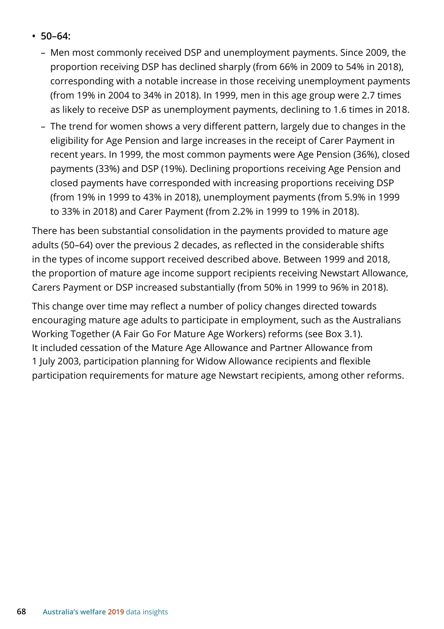- **50–64:**
	- Men most commonly received DSP and unemployment payments. Since 2009, the proportion receiving DSP has declined sharply (from 66% in 2009 to 54% in 2018), corresponding with a notable increase in those receiving unemployment payments (from 19% in 2004 to 34% in 2018). In 1999, men in this age group were 2.7 times as likely to receive DSP as unemployment payments, declining to 1.6 times in 2018.
	- The trend for women shows a very different pattern, largely due to changes in the eligibility for Age Pension and large increases in the receipt of Carer Payment in recent years. In 1999, the most common payments were Age Pension (36%), closed payments (33%) and DSP (19%). Declining proportions receiving Age Pension and closed payments have corresponded with increasing proportions receiving DSP (from 19% in 1999 to 43% in 2018), unemployment payments (from 5.9% in 1999 to 33% in 2018) and Carer Payment (from 2.2% in 1999 to 19% in 2018).

There has been substantial consolidation in the payments provided to mature age adults (50–64) over the previous 2 decades, as reflected in the considerable shifts in the types of income support received described above. Between 1999 and 2018, the proportion of mature age income support recipients receiving Newstart Allowance, Carers Payment or DSP increased substantially (from 50% in 1999 to 96% in 2018).

This change over time may reflect a number of policy changes directed towards encouraging mature age adults to participate in employment, such as the Australians Working Together (A Fair Go For Mature Age Workers) reforms (see Box 3.1). It included cessation of the Mature Age Allowance and Partner Allowance from 1 July 2003, participation planning for Widow Allowance recipients and flexible participation requirements for mature age Newstart recipients, among other reforms.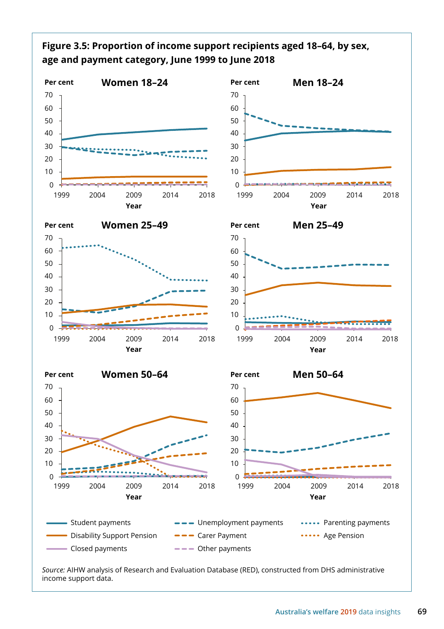

*Source:* AIHW analysis of Research and Evaluation Database (RED), constructed from DHS administrative income support data.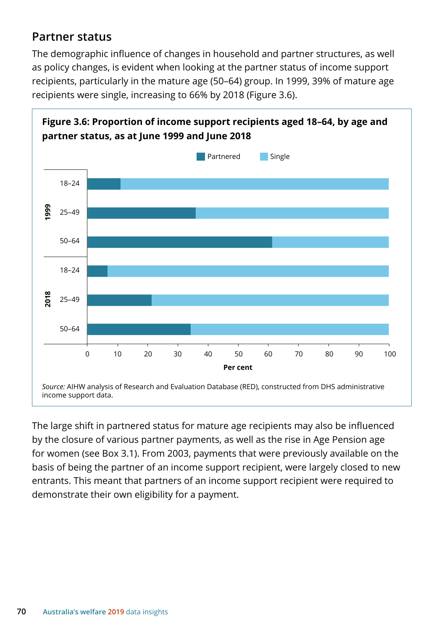## **Partner status**

The demographic influence of changes in household and partner structures, as well as policy changes, is evident when looking at the partner status of income support recipients, particularly in the mature age (50–64) group. In 1999, 39% of mature age recipients were single, increasing to 66% by 2018 (Figure 3.6).



The large shift in partnered status for mature age recipients may also be influenced by the closure of various partner payments, as well as the rise in Age Pension age for women (see Box 3.1). From 2003, payments that were previously available on the basis of being the partner of an income support recipient, were largely closed to new entrants. This meant that partners of an income support recipient were required to demonstrate their own eligibility for a payment.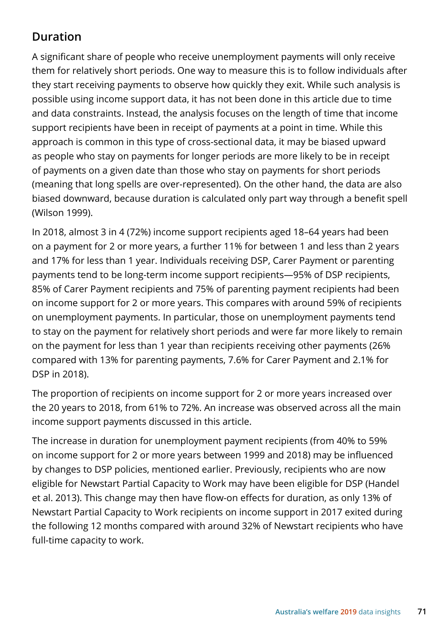## **Duration**

A significant share of people who receive unemployment payments will only receive them for relatively short periods. One way to measure this is to follow individuals after they start receiving payments to observe how quickly they exit. While such analysis is possible using income support data, it has not been done in this article due to time and data constraints. Instead, the analysis focuses on the length of time that income support recipients have been in receipt of payments at a point in time. While this approach is common in this type of cross-sectional data, it may be biased upward as people who stay on payments for longer periods are more likely to be in receipt of payments on a given date than those who stay on payments for short periods (meaning that long spells are over-represented). On the other hand, the data are also biased downward, because duration is calculated only part way through a benefit spell (Wilson 1999).

In 2018, almost 3 in 4 (72%) income support recipients aged 18–64 years had been on a payment for 2 or more years, a further 11% for between 1 and less than 2 years and 17% for less than 1 year. Individuals receiving DSP, Carer Payment or parenting payments tend to be long-term income support recipients—95% of DSP recipients, 85% of Carer Payment recipients and 75% of parenting payment recipients had been on income support for 2 or more years. This compares with around 59% of recipients on unemployment payments. In particular, those on unemployment payments tend to stay on the payment for relatively short periods and were far more likely to remain on the payment for less than 1 year than recipients receiving other payments (26% compared with 13% for parenting payments, 7.6% for Carer Payment and 2.1% for DSP in 2018).

The proportion of recipients on income support for 2 or more years increased over the 20 years to 2018, from 61% to 72%. An increase was observed across all the main income support payments discussed in this article.

The increase in duration for unemployment payment recipients (from 40% to 59% on income support for 2 or more years between 1999 and 2018) may be influenced by changes to DSP policies, mentioned earlier. Previously, recipients who are now eligible for Newstart Partial Capacity to Work may have been eligible for DSP (Handel et al. 2013). This change may then have flow-on effects for duration, as only 13% of Newstart Partial Capacity to Work recipients on income support in 2017 exited during the following 12 months compared with around 32% of Newstart recipients who have full-time capacity to work.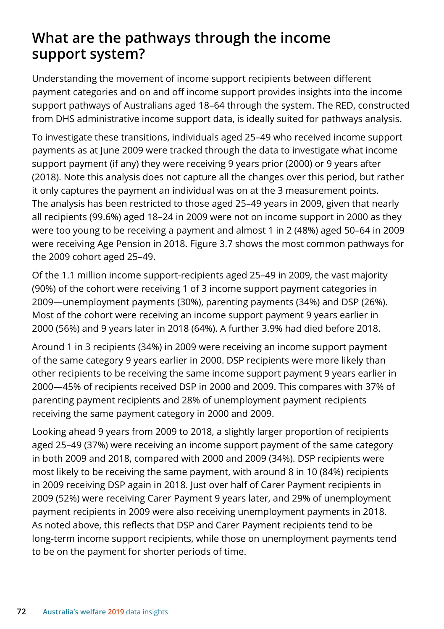# **What are the pathways through the income support system?**

Understanding the movement of income support recipients between different payment categories and on and off income support provides insights into the income support pathways of Australians aged 18–64 through the system. The RED, constructed from DHS administrative income support data, is ideally suited for pathways analysis.

To investigate these transitions, individuals aged 25–49 who received income support payments as at June 2009 were tracked through the data to investigate what income support payment (if any) they were receiving 9 years prior (2000) or 9 years after (2018). Note this analysis does not capture all the changes over this period, but rather it only captures the payment an individual was on at the 3 measurement points. The analysis has been restricted to those aged 25–49 years in 2009, given that nearly all recipients (99.6%) aged 18–24 in 2009 were not on income support in 2000 as they were too young to be receiving a payment and almost 1 in 2 (48%) aged 50–64 in 2009 were receiving Age Pension in 2018. Figure 3.7 shows the most common pathways for the 2009 cohort aged 25–49.

Of the 1.1 million income support-recipients aged 25–49 in 2009, the vast majority (90%) of the cohort were receiving 1 of 3 income support payment categories in 2009—unemployment payments (30%), parenting payments (34%) and DSP (26%). Most of the cohort were receiving an income support payment 9 years earlier in 2000 (56%) and 9 years later in 2018 (64%). A further 3.9% had died before 2018.

Around 1 in 3 recipients (34%) in 2009 were receiving an income support payment of the same category 9 years earlier in 2000. DSP recipients were more likely than other recipients to be receiving the same income support payment 9 years earlier in 2000—45% of recipients received DSP in 2000 and 2009. This compares with 37% of parenting payment recipients and 28% of unemployment payment recipients receiving the same payment category in 2000 and 2009.

Looking ahead 9 years from 2009 to 2018, a slightly larger proportion of recipients aged 25–49 (37%) were receiving an income support payment of the same category in both 2009 and 2018, compared with 2000 and 2009 (34%). DSP recipients were most likely to be receiving the same payment, with around 8 in 10 (84%) recipients in 2009 receiving DSP again in 2018. Just over half of Carer Payment recipients in 2009 (52%) were receiving Carer Payment 9 years later, and 29% of unemployment payment recipients in 2009 were also receiving unemployment payments in 2018. As noted above, this reflects that DSP and Carer Payment recipients tend to be long-term income support recipients, while those on unemployment payments tend to be on the payment for shorter periods of time.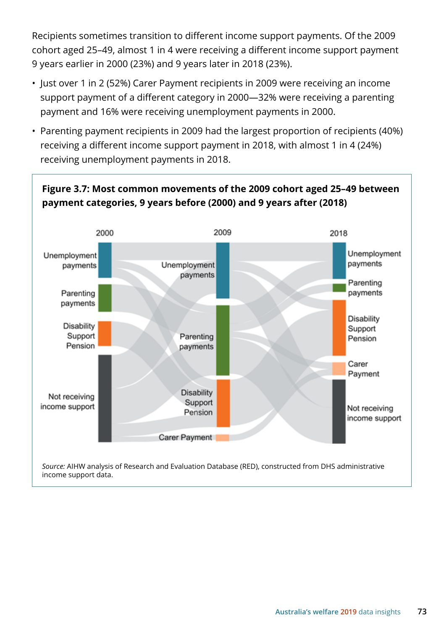Recipients sometimes transition to different income support payments. Of the 2009 cohort aged 25–49, almost 1 in 4 were receiving a different income support payment 9 years earlier in 2000 (23%) and 9 years later in 2018 (23%).

- Just over 1 in 2 (52%) Carer Payment recipients in 2009 were receiving an income support payment of a different category in 2000—32% were receiving a parenting payment and 16% were receiving unemployment payments in 2000.
- Parenting payment recipients in 2009 had the largest proportion of recipients (40%) receiving a different income support payment in 2018, with almost 1 in 4 (24%) receiving unemployment payments in 2018.

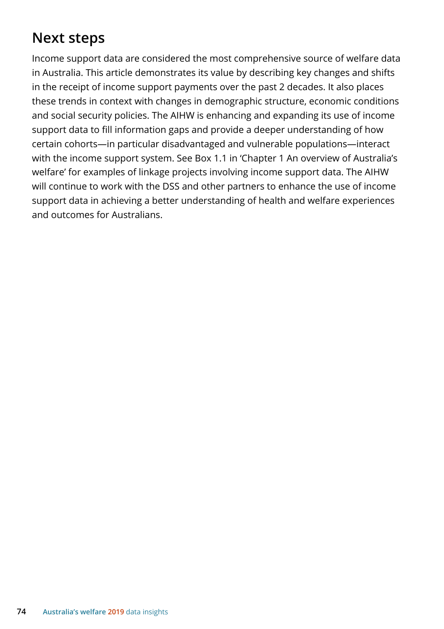# **Next steps**

Income support data are considered the most comprehensive source of welfare data in Australia. This article demonstrates its value by describing key changes and shifts in the receipt of income support payments over the past 2 decades. It also places these trends in context with changes in demographic structure, economic conditions and social security policies. The AIHW is enhancing and expanding its use of income support data to fill information gaps and provide a deeper understanding of how certain cohorts—in particular disadvantaged and vulnerable populations—interact with the income support system. See Box 1.1 in 'Chapter 1 An overview of Australia's welfare' for examples of linkage projects involving income support data. The AIHW will continue to work with the DSS and other partners to enhance the use of income support data in achieving a better understanding of health and welfare experiences and outcomes for Australians.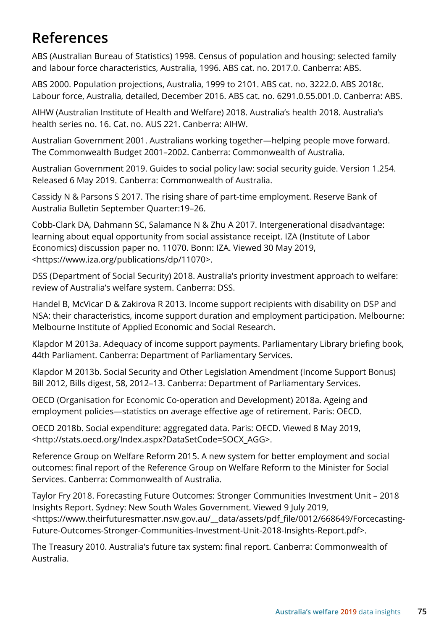# **References**

ABS (Australian Bureau of Statistics) 1998. Census of population and housing: selected family and labour force characteristics, Australia, 1996. ABS cat. no. 2017.0. Canberra: ABS.

ABS 2000. Population projections, Australia, 1999 to 2101. ABS cat. no. 3222.0. ABS 2018c. Labour force, Australia, detailed, December 2016. ABS cat. no. 6291.0.55.001.0. Canberra: ABS.

AIHW (Australian Institute of Health and Welfare) 2018. Australia's health 2018. Australia's health series no. 16. Cat. no. AUS 221. Canberra: AIHW.

Australian Government 2001. Australians working together—helping people move forward. The Commonwealth Budget 2001–2002. Canberra: Commonwealth of Australia.

Australian Government 2019. Guides to social policy law: social security guide. Version 1.254. Released 6 May 2019. Canberra: Commonwealth of Australia.

Cassidy N & Parsons S 2017. The rising share of part-time employment. Reserve Bank of Australia Bulletin September Quarter:19–26.

Cobb-Clark DA, Dahmann SC, Salamance N & Zhu A 2017. Intergenerational disadvantage: learning about equal opportunity from social assistance receipt. IZA (Institute of Labor Economics) discussion paper no. 11070. Bonn: IZA. Viewed 30 May 2019, <https://www.iza.org/publications/dp/11070>.

DSS (Department of Social Security) 2018. Australia's priority investment approach to welfare: review of Australia's welfare system. Canberra: DSS.

Handel B, McVicar D & Zakirova R 2013. Income support recipients with disability on DSP and NSA: their characteristics, income support duration and employment participation. Melbourne: Melbourne Institute of Applied Economic and Social Research.

Klapdor M 2013a. Adequacy of income support payments. Parliamentary Library briefing book, 44th Parliament. Canberra: Department of Parliamentary Services.

Klapdor M 2013b. Social Security and Other Legislation Amendment (Income Support Bonus) Bill 2012, Bills digest, 58, 2012–13. Canberra: Department of Parliamentary Services.

OECD (Organisation for Economic Co-operation and Development) 2018a. Ageing and employment policies—statistics on average effective age of retirement. Paris: OECD.

OECD 2018b. Social expenditure: aggregated data. Paris: OECD. Viewed 8 May 2019, <http://stats.oecd.org/Index.aspx?DataSetCode=SOCX\_AGG>.

Reference Group on Welfare Reform 2015. A new system for better employment and social outcomes: final report of the Reference Group on Welfare Reform to the Minister for Social Services. Canberra: Commonwealth of Australia.

Taylor Fry 2018. Forecasting Future Outcomes: Stronger Communities Investment Unit – 2018 Insights Report. Sydney: New South Wales Government. Viewed 9 July 2019, <https://www.theirfuturesmatter.nsw.gov.au/\_\_data/assets/pdf\_file/0012/668649/Forcecasting-Future-Outcomes-Stronger-Communities-Investment-Unit-2018-Insights-Report.pdf>.

The Treasury 2010. Australia's future tax system: final report. Canberra: Commonwealth of Australia.